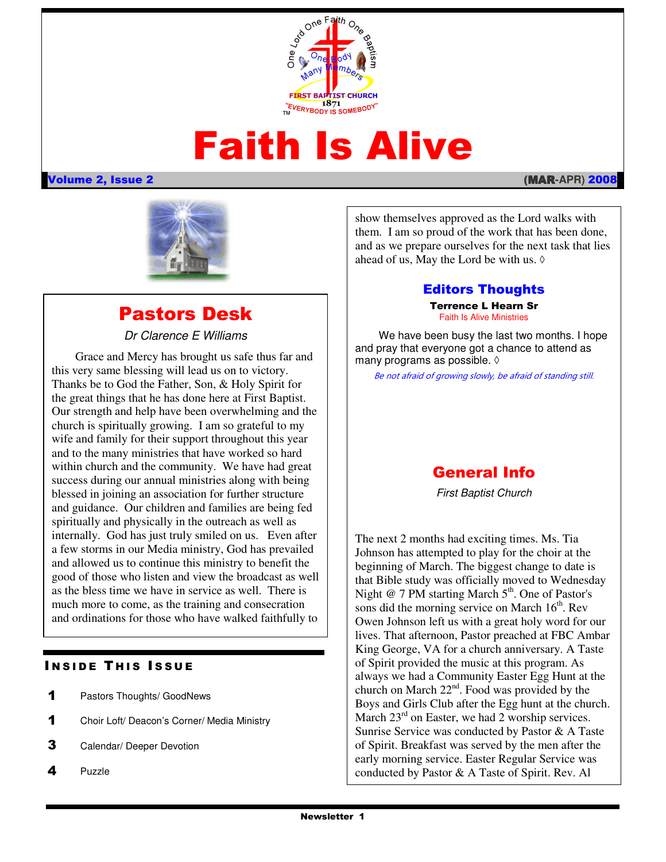

# Faith Is Alive

#### Volume 2, Issue 2 (MAR**-APR)** 2008

### Pastors Desk

Dr Clarence E Williams

 Our strength and help have been overwhelming and the Grace and Mercy has brought us safe thus far and this very same blessing will lead us on to victory. Thanks be to God the Father, Son, & Holy Spirit for the great things that he has done here at First Baptist. church is spiritually growing. I am so grateful to my wife and family for their support throughout this year and to the many ministries that have worked so hard within church and the community. We have had great success during our annual ministries along with being blessed in joining an association for further structure and guidance. Our children and families are being fed spiritually and physically in the outreach as well as internally. God has just truly smiled on us. Even after a few storms in our Media ministry, God has prevailed and allowed us to continue this ministry to benefit the good of those who listen and view the broadcast as well as the bless time we have in service as well. There is much more to come, as the training and consecration and ordinations for those who have walked faithfully to

### **INSIDE THIS ISSUE**

- 1 Pastors Thoughts/ GoodNews
- 1 Choir Loft/ Deacon's Corner/ Media Ministry
- 3 Calendar/ Deeper Devotion
- $4$  Puzzle

show themselves approved as the Lord walks with them. I am so proud of the work that has been done, and as we prepare ourselves for the next task that lies ahead of us, May the Lord be with us.  $\Diamond$ 

### Editors Thoughts

Terrence L Hearn Sr Faith Is Alive Ministries

We have been busy the last two months. I hope and pray that everyone got a chance to attend as many programs as possible. ◊

Be not afraid of growing slowly, be afraid of standing still.

### General Info

First Baptist Church

 Boys and Girls Club after the Egg hunt at the church. The next 2 months had exciting times. Ms. Tia Johnson has attempted to play for the choir at the beginning of March. The biggest change to date is that Bible study was officially moved to Wednesday Night  $@$  7 PM starting March  $5<sup>th</sup>$ . One of Pastor's sons did the morning service on March  $16<sup>th</sup>$ . Rev Owen Johnson left us with a great holy word for our lives. That afternoon, Pastor preached at FBC Ambar King George, VA for a church anniversary. A Taste of Spirit provided the music at this program. As always we had a Community Easter Egg Hunt at the church on March 22<sup>nd</sup>. Food was provided by the March  $23<sup>rd</sup>$  on Easter, we had 2 worship services. Sunrise Service was conducted by Pastor & A Taste of Spirit. Breakfast was served by the men after the early morning service. Easter Regular Service was conducted by Pastor & A Taste of Spirit. Rev. Al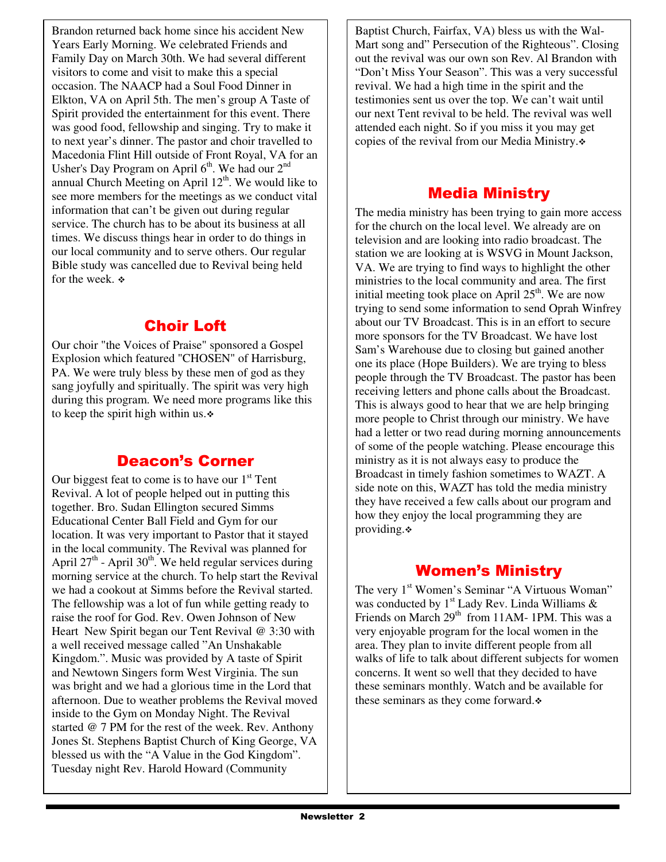Brandon returned back home since his accident New Years Early Morning. We celebrated Friends and Family Day on March 30th. We had several different visitors to come and visit to make this a special occasion. The NAACP had a Soul Food Dinner in Elkton, VA on April 5th. The men's group A Taste of Spirit provided the entertainment for this event. There was good food, fellowship and singing. Try to make it to next year's dinner. The pastor and choir travelled to Macedonia Flint Hill outside of Front Royal, VA for an Usher's Day Program on April  $6<sup>th</sup>$ . We had our  $2<sup>nd</sup>$ annual Church Meeting on April  $12<sup>th</sup>$ . We would like to see more members for the meetings as we conduct vital information that can't be given out during regular service. The church has to be about its business at all times. We discuss things hear in order to do things in our local community and to serve others. Our regular Bible study was cancelled due to Revival being held for the week.  $\bullet$ 

### Choir Loft

Our choir "the Voices of Praise" sponsored a Gospel Explosion which featured "CHOSEN" of Harrisburg, PA. We were truly bless by these men of god as they sang joyfully and spiritually. The spirit was very high during this program. We need more programs like this to keep the spirit high within us. $\cdot$ 

### Deacon's Corner

Our biggest feat to come is to have our  $1<sup>st</sup>$  Tent Revival. A lot of people helped out in putting this together. Bro. Sudan Ellington secured Simms Educational Center Ball Field and Gym for our location. It was very important to Pastor that it stayed in the local community. The Revival was planned for April  $27<sup>th</sup>$  - April 30<sup>th</sup>. We held regular services during morning service at the church. To help start the Revival we had a cookout at Simms before the Revival started. The fellowship was a lot of fun while getting ready to raise the roof for God. Rev. Owen Johnson of New Heart New Spirit began our Tent Revival @ 3:30 with a well received message called "An Unshakable Kingdom.". Music was provided by A taste of Spirit and Newtown Singers form West Virginia. The sun was bright and we had a glorious time in the Lord that afternoon. Due to weather problems the Revival moved inside to the Gym on Monday Night. The Revival started @ 7 PM for the rest of the week. Rev. Anthony Jones St. Stephens Baptist Church of King George, VA blessed us with the "A Value in the God Kingdom". Tuesday night Rev. Harold Howard (Community

Baptist Church, Fairfax, VA) bless us with the Wal-Mart song and" Persecution of the Righteous". Closing out the revival was our own son Rev. Al Brandon with "Don't Miss Your Season". This was a very successful revival. We had a high time in the spirit and the testimonies sent us over the top. We can't wait until our next Tent revival to be held. The revival was well attended each night. So if you miss it you may get copies of the revival from our Media Ministry.

### Media Ministry

The media ministry has been trying to gain more access for the church on the local level. We already are on television and are looking into radio broadcast. The station we are looking at is WSVG in Mount Jackson, VA. We are trying to find ways to highlight the other ministries to the local community and area. The first initial meeting took place on April  $25<sup>th</sup>$ . We are now trying to send some information to send Oprah Winfrey about our TV Broadcast. This is in an effort to secure more sponsors for the TV Broadcast. We have lost Sam's Warehouse due to closing but gained another one its place (Hope Builders). We are trying to bless people through the TV Broadcast. The pastor has been receiving letters and phone calls about the Broadcast. This is always good to hear that we are help bringing more people to Christ through our ministry. We have had a letter or two read during morning announcements of some of the people watching. Please encourage this ministry as it is not always easy to produce the Broadcast in timely fashion sometimes to WAZT. A side note on this, WAZT has told the media ministry they have received a few calls about our program and how they enjoy the local programming they are providing.

### Women's Ministry

The very 1<sup>st</sup> Women's Seminar "A Virtuous Woman" was conducted by  $1^{st}$  Lady Rev. Linda Williams & Friends on March 29<sup>th</sup> from 11AM- 1PM. This was a very enjoyable program for the local women in the area. They plan to invite different people from all walks of life to talk about different subjects for women concerns. It went so well that they decided to have these seminars monthly. Watch and be available for these seminars as they come forward.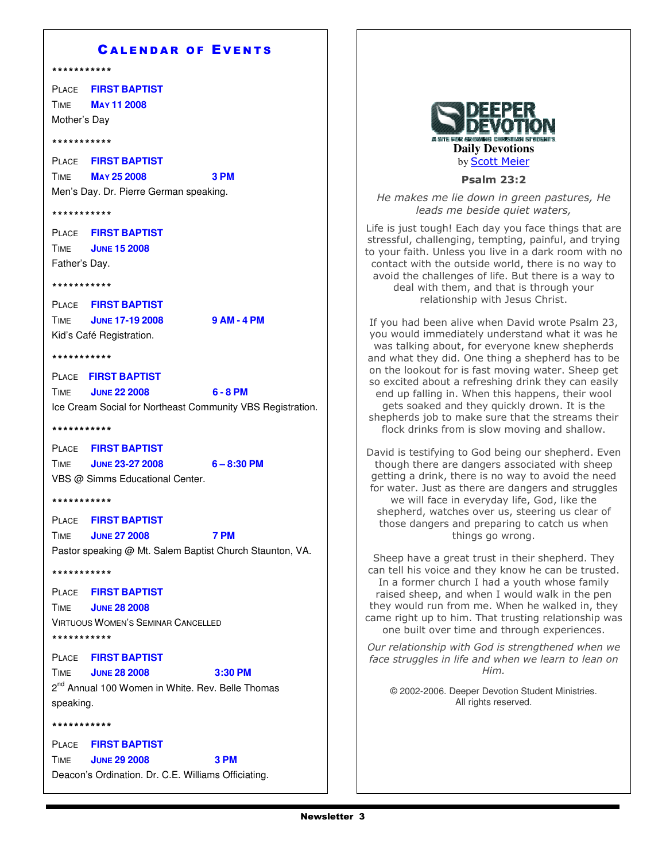#### **CALENDAR OF EVENTS**

#### \*\*\*\*\*\*\*\*\*\*\*

PLACE **FIRST BAPTIST** TIME **MAY 11 2008**  Mother's Day

#### \*\*\*\*\*\*\*\*\*\*\*

PLACE **FIRST BAPTIST** TIME **MAY 25 2008 3 PM** Men's Day. Dr. Pierre German speaking.

#### \*\*\*\*\*\*\*\*\*\*\*

PLACE **FIRST BAPTIST** TIME **JUNE 15 2008** Father's Day.

#### \*\*\*\*\*\*\*\*\*\*\*

PLACE **FIRST BAPTIST** TIME **JUNE 17-19 2008 9 AM - 4 PM** Kid's Café Registration.

#### \*\*\*\*\*\*\*\*\*\*\*

PLACE **FIRST BAPTIST** TIME **JUNE 22 2008 6 - 8 PM** Ice Cream Social for Northeast Community VBS Registration.

#### \*\*\*\*\*\*\*\*\*\*\*

PLACE **FIRST BAPTIST** TIME **JUNE 23-27 2008 6 – 8:30 PM** VBS @ Simms Educational Center.

#### \*\*\*\*\*\*\*\*\*\*\*

PLACE **FIRST BAPTIST** TIME **JUNE 27 2008 7 PM** Pastor speaking @ Mt. Salem Baptist Church Staunton, VA.

\*\*\*\*\*\*\*\*\*\*\*

PLACE **FIRST BAPTIST** TIME **JUNE 28 2008**  VIRTUOUS WOMEN'S SEMINAR CANCELLED \*\*\*\*\*\*\*\*\*\*\*

PLACE **FIRST BAPTIST** TIME **JUNE 28 2008 3:30 PM** 2<sup>nd</sup> Annual 100 Women in White. Rev. Belle Thomas speaking.

\*\*\*\*\*\*\*\*\*\*\*

PLACE **FIRST BAPTIST** TIME **JUNE 29 2008 3 PM** Deacon's Ordination. Dr. C.E. Williams Officiating.



#### Psalm 23:2

He makes me lie down in green pastures, He leads me beside quiet waters,

Life is just tough! Each day you face things that are stressful, challenging, tempting, painful, and trying to your faith. Unless you live in a dark room with no contact with the outside world, there is no way to avoid the challenges of life. But there is a way to deal with them, and that is through your relationship with Jesus Christ.

If you had been alive when David wrote Psalm 23, you would immediately understand what it was he was talking about, for everyone knew shepherds and what they did. One thing a shepherd has to be on the lookout for is fast moving water. Sheep get so excited about a refreshing drink they can easily end up falling in. When this happens, their wool gets soaked and they quickly drown. It is the shepherds job to make sure that the streams their flock drinks from is slow moving and shallow.

David is testifying to God being our shepherd. Even though there are dangers associated with sheep getting a drink, there is no way to avoid the need for water. Just as there are dangers and struggles we will face in everyday life, God, like the shepherd, watches over us, steering us clear of those dangers and preparing to catch us when things go wrong.

Sheep have a great trust in their shepherd. They can tell his voice and they know he can be trusted. In a former church I had a youth whose family raised sheep, and when I would walk in the pen they would run from me. When he walked in, they came right up to him. That trusting relationship was one built over time and through experiences.

Our relationship with God is strengthened when we face struggles in life and when we learn to lean on Him.

© 2002-2006. Deeper Devotion Student Ministries. All rights reserved.